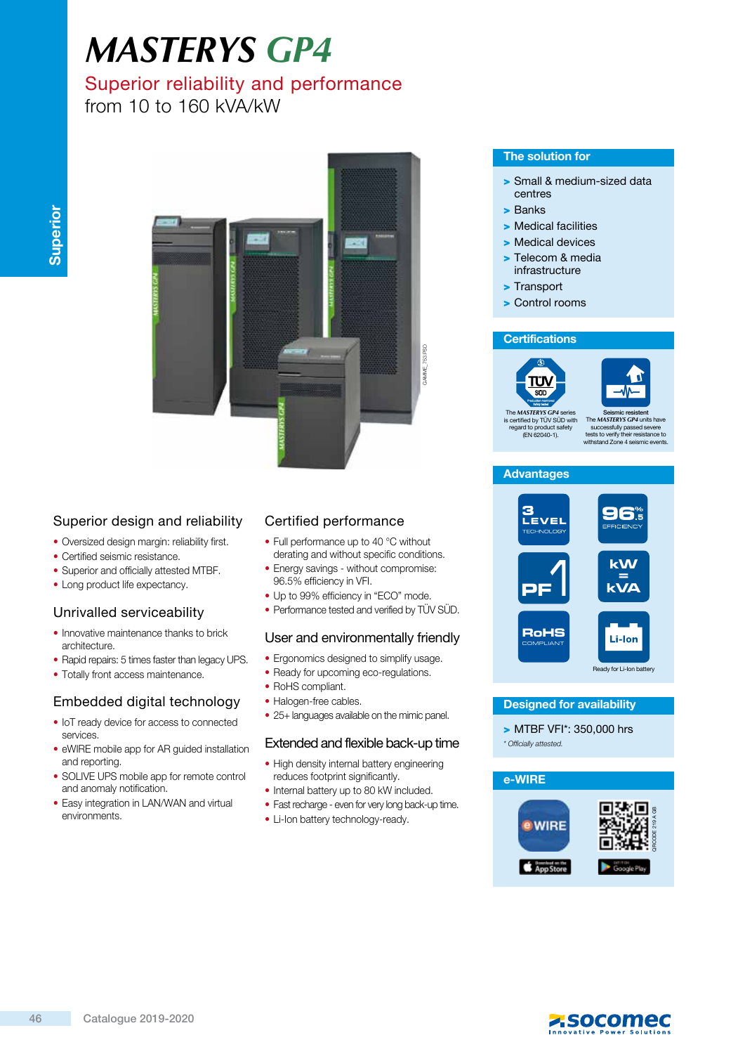# *MASTERYS GP4*

## Superior reliability and performance

from 10 to 160 kVA/kW



## Superior design and reliability

- Oversized design margin: reliability first.
- Certified seismic resistance.
- Superior and officially attested MTBF.
- Long product life expectancy.

## Unrivalled serviceability

- Innovative maintenance thanks to brick architecture.
- Rapid repairs: 5 times faster than legacy UPS.
- Totally front access maintenance.

## Embedded digital technology

- IoT ready device for access to connected services.
- eWIRE mobile app for AR guided installation and reporting.
- SOLIVE UPS mobile app for remote control and anomaly notification.
- Easy integration in LAN/WAN and virtual environments.

## Certified performance

- Full performance up to 40 °C without derating and without specific conditions.
- Energy savings without compromise: 96.5% efficiency in VFI.
- Up to 99% efficiency in "ECO" mode.
- Performance tested and verified by TÜV SÜD.

## User and environmentally friendly

- Ergonomics designed to simplify usage.
- Ready for upcoming eco-regulations.
- RoHS compliant.
- Halogen-free cables.
- 25+ languages available on the mimic panel.

#### Extended and flexible back-up time

- High density internal battery engineering reduces footprint significantly.
- Internal battery up to 80 kW included.
- Fast recharge even for very long back-up time.
- Li-Ion battery technology-ready.

#### The solution for

- > Small & medium-sized data centres
- > Banks
- > Medical facilities
- > Medical devices
- > Telecom & media infrastructure
- > Transport
- > Control rooms

#### **Certifications**





The *MASTERYS GP4* series is certified by TÜV SÜD with regard to product safety (EN 62040-1).



#### **Advantages**



#### Designed for availability

> MTBF VFI\*: 350,000 hrs \* Officially attested.